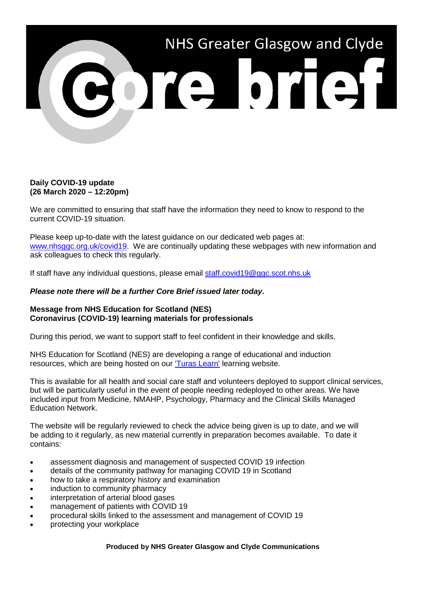

## **Daily COVID-19 update (26 March 2020 – 12:20pm)**

We are committed to ensuring that staff have the information they need to know to respond to the current COVID-19 situation.

Please keep up-to-date with the latest guidance on our dedicated web pages at: [www.nhsggc.org.uk/covid19.](http://www.nhsggc.org.uk/covid19) We are continually updating these webpages with new information and ask colleagues to check this regularly.

If staff have any individual questions, please email [staff.covid19@ggc.scot.nhs.uk](mailto:staff.covid19@ggc.scot.nhs.uk)

## *Please note there will be a further Core Brief issued later today.*

## **Message from NHS Education for Scotland (NES) Coronavirus (COVID-19) learning materials for professionals**

During this period, we want to support staff to feel confident in their knowledge and skills.

NHS Education for Scotland (NES) are developing a range of educational and induction resources, which are being hosted on our ['Turas Learn'](https://learn.nes.nhs.scot/27993/coronavirus-covid-19) learning website.

This is available for all health and social care staff and volunteers deployed to support clinical services, but will be particularly useful in the event of people needing redeployed to other areas. We have included input from Medicine, NMAHP, Psychology, Pharmacy and the Clinical Skills Managed Education Network.

The website will be regularly reviewed to check the advice being given is up to date, and we will be adding to it regularly, as new material currently in preparation becomes available. To date it contains:

- assessment diagnosis and management of suspected COVID 19 infection
- details of the community pathway for managing COVID 19 in Scotland
- how to take a respiratory history and examination
- induction to community pharmacy
- interpretation of arterial blood gases
- management of patients with COVID 19
- procedural skills linked to the assessment and management of COVID 19
- protecting your workplace

**Produced by NHS Greater Glasgow and Clyde Communications**